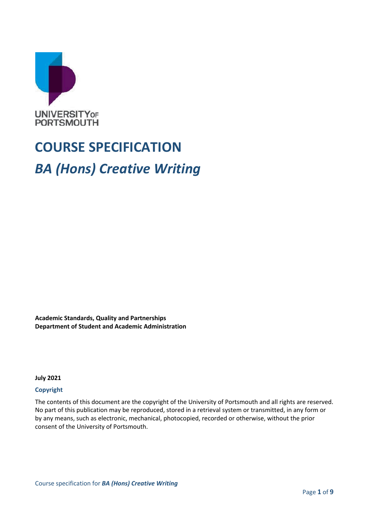

# **COURSE SPECIFICATION** *BA (Hons) Creative Writing*

**Academic Standards, Quality and Partnerships Department of Student and Academic Administration**

**July 2021**

#### **Copyright**

The contents of this document are the copyright of the University of Portsmouth and all rights are reserved. No part of this publication may be reproduced, stored in a retrieval system or transmitted, in any form or by any means, such as electronic, mechanical, photocopied, recorded or otherwise, without the prior consent of the University of Portsmouth.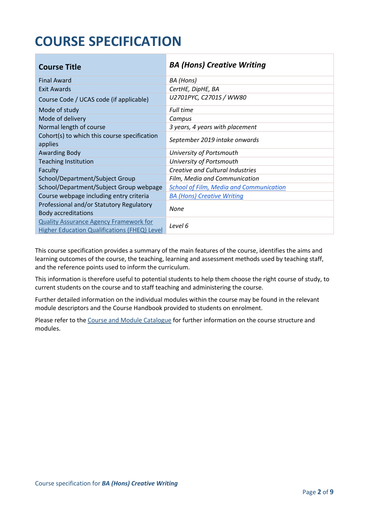## **COURSE SPECIFICATION**

| <b>Course Title</b>                                                                                  | <b>BA (Hons) Creative Writing</b>              |
|------------------------------------------------------------------------------------------------------|------------------------------------------------|
| <b>Final Award</b>                                                                                   | BA (Hons)                                      |
| Exit Awards                                                                                          | CertHE, DipHE, BA                              |
| Course Code / UCAS code (if applicable)                                                              | U2701PYC, C2701S / WW80                        |
| Mode of study                                                                                        | <b>Full time</b>                               |
| Mode of delivery                                                                                     | Campus                                         |
| Normal length of course                                                                              | 3 years, 4 years with placement                |
| Cohort(s) to which this course specification<br>applies                                              | September 2019 intake onwards                  |
| <b>Awarding Body</b>                                                                                 | University of Portsmouth                       |
| <b>Teaching Institution</b>                                                                          | University of Portsmouth                       |
| Faculty                                                                                              | <b>Creative and Cultural Industries</b>        |
| School/Department/Subject Group                                                                      | Film, Media and Communication                  |
| School/Department/Subject Group webpage                                                              | <b>School of Film, Media and Communication</b> |
| Course webpage including entry criteria                                                              | <b>BA (Hons) Creative Writing</b>              |
| Professional and/or Statutory Regulatory<br><b>Body accreditations</b>                               | None                                           |
| <b>Quality Assurance Agency Framework for</b><br><b>Higher Education Qualifications (FHEQ) Level</b> | Level 6                                        |

This course specification provides a summary of the main features of the course, identifies the aims and learning outcomes of the course, the teaching, learning and assessment methods used by teaching staff, and the reference points used to inform the curriculum.

This information is therefore useful to potential students to help them choose the right course of study, to current students on the course and to staff teaching and administering the course.

Further detailed information on the individual modules within the course may be found in the relevant module descriptors and the Course Handbook provided to students on enrolment.

Please refer to the Course [and Module Catalogue](https://course-module-catalog.port.ac.uk/#/welcome) for further information on the course structure and modules.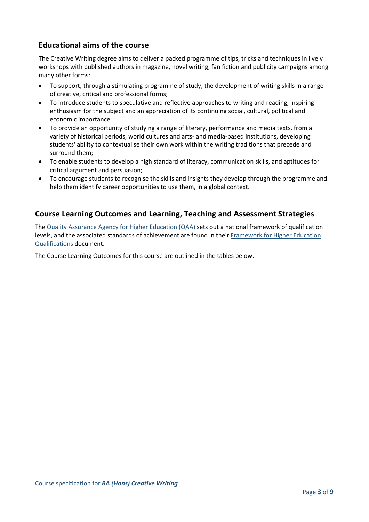## **Educational aims of the course**

The Creative Writing degree aims to deliver a packed programme of tips, tricks and techniques in lively workshops with published authors in magazine, novel writing, fan fiction and publicity campaigns among many other forms:

- To support, through a stimulating programme of study, the development of writing skills in a range of creative, critical and professional forms;
- To introduce students to speculative and reflective approaches to writing and reading, inspiring enthusiasm for the subject and an appreciation of its continuing social, cultural, political and economic importance.
- To provide an opportunity of studying a range of literary, performance and media texts, from a variety of historical periods, world cultures and arts- and media-based institutions, developing students' ability to contextualise their own work within the writing traditions that precede and surround them;
- To enable students to develop a high standard of literacy, communication skills, and aptitudes for critical argument and persuasion;
- To encourage students to recognise the skills and insights they develop through the programme and help them identify career opportunities to use them, in a global context.

## **Course Learning Outcomes and Learning, Teaching and Assessment Strategies**

The [Quality Assurance Agency for Higher Education \(QAA\)](http://www.qaa.ac.uk/en) sets out a national framework of qualification levels, and the associated standards of achievement are found in their [Framework for Higher Education](https://www.qaa.ac.uk/quality-code/qualifications-frameworks)  [Qualifications](https://www.qaa.ac.uk/quality-code/qualifications-frameworks) document.

The Course Learning Outcomes for this course are outlined in the tables below.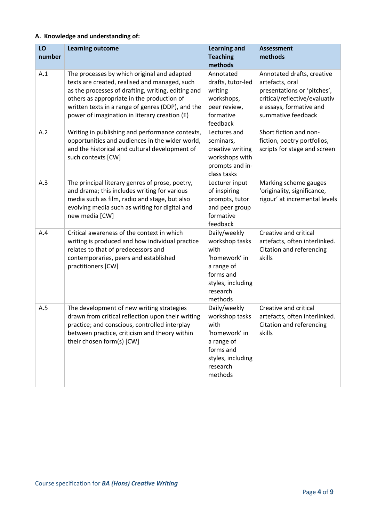#### **A. Knowledge and understanding of:**

| LO<br>number | <b>Learning outcome</b>                                                                                                                                                                                                                                                                                | <b>Learning and</b><br><b>Teaching</b><br>methods                                                                              | <b>Assessment</b><br>methods                                                                                                                                   |
|--------------|--------------------------------------------------------------------------------------------------------------------------------------------------------------------------------------------------------------------------------------------------------------------------------------------------------|--------------------------------------------------------------------------------------------------------------------------------|----------------------------------------------------------------------------------------------------------------------------------------------------------------|
| A.1          | The processes by which original and adapted<br>texts are created, realised and managed, such<br>as the processes of drafting, writing, editing and<br>others as appropriate in the production of<br>written texts in a range of genres (DDP), and the<br>power of imagination in literary creation (E) | Annotated<br>drafts, tutor-led<br>writing<br>workshops,<br>peer review,<br>formative<br>feedback                               | Annotated drafts, creative<br>artefacts, oral<br>presentations or 'pitches',<br>critical/reflective/evaluativ<br>e essays, formative and<br>summative feedback |
| A.2          | Writing in publishing and performance contexts,<br>opportunities and audiences in the wider world,<br>and the historical and cultural development of<br>such contexts [CW]                                                                                                                             | Lectures and<br>seminars,<br>creative writing<br>workshops with<br>prompts and in-<br>class tasks                              | Short fiction and non-<br>fiction, poetry portfolios,<br>scripts for stage and screen                                                                          |
| A.3          | The principal literary genres of prose, poetry,<br>and drama; this includes writing for various<br>media such as film, radio and stage, but also<br>evolving media such as writing for digital and<br>new media [CW]                                                                                   | Lecturer input<br>of inspiring<br>prompts, tutor<br>and peer group<br>formative<br>feedback                                    | Marking scheme gauges<br>'originality, significance,<br>rigour' at incremental levels                                                                          |
| A.4          | Critical awareness of the context in which<br>writing is produced and how individual practice<br>relates to that of predecessors and<br>contemporaries, peers and established<br>practitioners [CW]                                                                                                    | Daily/weekly<br>workshop tasks<br>with<br>'homework' in<br>a range of<br>forms and<br>styles, including<br>research<br>methods | Creative and critical<br>artefacts, often interlinked.<br>Citation and referencing<br>skills                                                                   |
| A.5          | The development of new writing strategies<br>drawn from critical reflection upon their writing<br>practice; and conscious, controlled interplay<br>between practice, criticism and theory within<br>their chosen form(s) [CW]                                                                          | Daily/weekly<br>workshop tasks<br>with<br>'homework' in<br>a range of<br>forms and<br>styles, including<br>research<br>methods | Creative and critical<br>artefacts, often interlinked.<br>Citation and referencing<br>skills                                                                   |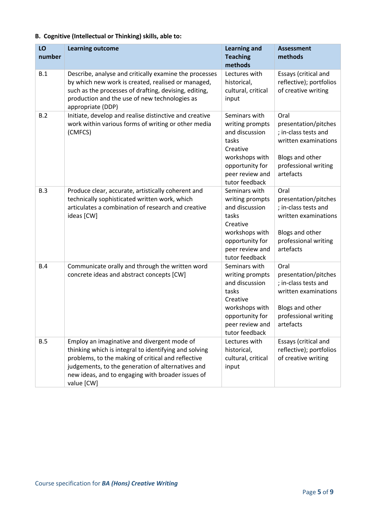| LO<br>number | <b>Learning outcome</b>                                                                                                                                                                                                                                                            | <b>Learning and</b><br><b>Teaching</b><br>methods                                                                                                 | <b>Assessment</b><br>methods                                                                                                         |
|--------------|------------------------------------------------------------------------------------------------------------------------------------------------------------------------------------------------------------------------------------------------------------------------------------|---------------------------------------------------------------------------------------------------------------------------------------------------|--------------------------------------------------------------------------------------------------------------------------------------|
| B.1          | Describe, analyse and critically examine the processes<br>by which new work is created, realised or managed,<br>such as the processes of drafting, devising, editing,<br>production and the use of new technologies as<br>appropriate (DDP)                                        | Lectures with<br>historical,<br>cultural, critical<br>input                                                                                       | Essays (critical and<br>reflective); portfolios<br>of creative writing                                                               |
| B.2          | Initiate, develop and realise distinctive and creative<br>work within various forms of writing or other media<br>(CMFCS)                                                                                                                                                           | Seminars with<br>writing prompts<br>and discussion<br>tasks<br>Creative<br>workshops with<br>opportunity for<br>peer review and<br>tutor feedback | Oral<br>presentation/pitches<br>; in-class tests and<br>written examinations<br>Blogs and other<br>professional writing<br>artefacts |
| B.3          | Produce clear, accurate, artistically coherent and<br>technically sophisticated written work, which<br>articulates a combination of research and creative<br>ideas [CW]                                                                                                            | Seminars with<br>writing prompts<br>and discussion<br>tasks<br>Creative<br>workshops with<br>opportunity for<br>peer review and<br>tutor feedback | Oral<br>presentation/pitches<br>; in-class tests and<br>written examinations<br>Blogs and other<br>professional writing<br>artefacts |
| B.4          | Communicate orally and through the written word<br>concrete ideas and abstract concepts [CW]                                                                                                                                                                                       | Seminars with<br>writing prompts<br>and discussion<br>tasks<br>Creative<br>workshops with<br>opportunity for<br>peer review and<br>tutor feedback | Oral<br>presentation/pitches<br>; in-class tests and<br>written examinations<br>Blogs and other<br>professional writing<br>artefacts |
| B.5          | Employ an imaginative and divergent mode of<br>thinking which is integral to identifying and solving<br>problems, to the making of critical and reflective<br>judgements, to the generation of alternatives and<br>new ideas, and to engaging with broader issues of<br>value [CW] | Lectures with<br>historical,<br>cultural, critical<br>input                                                                                       | Essays (critical and<br>reflective); portfolios<br>of creative writing                                                               |

## **B. Cognitive (Intellectual or Thinking) skills, able to:**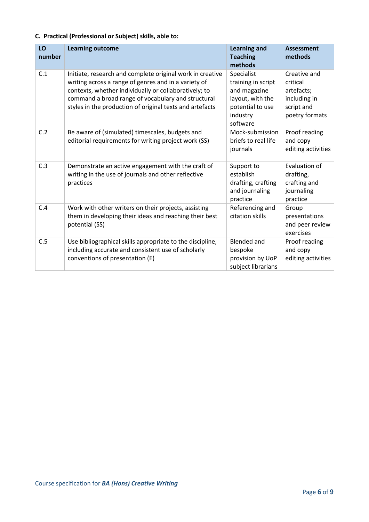#### **C. Practical (Professional or Subject) skills, able to:**

| LO<br>number | <b>Learning outcome</b>                                                                                                                                                                                                                                                                      | <b>Learning and</b><br><b>Teaching</b><br>methods                                                                | <b>Assessment</b><br>methods                                                           |
|--------------|----------------------------------------------------------------------------------------------------------------------------------------------------------------------------------------------------------------------------------------------------------------------------------------------|------------------------------------------------------------------------------------------------------------------|----------------------------------------------------------------------------------------|
| C.1          | Initiate, research and complete original work in creative<br>writing across a range of genres and in a variety of<br>contexts, whether individually or collaboratively; to<br>command a broad range of vocabulary and structural<br>styles in the production of original texts and artefacts | Specialist<br>training in script<br>and magazine<br>layout, with the<br>potential to use<br>industry<br>software | Creative and<br>critical<br>artefacts;<br>including in<br>script and<br>poetry formats |
| C.2          | Be aware of (simulated) timescales, budgets and<br>editorial requirements for writing project work (SS)                                                                                                                                                                                      | Mock-submission<br>briefs to real life<br>journals                                                               | Proof reading<br>and copy<br>editing activities                                        |
| C.3          | Demonstrate an active engagement with the craft of<br>writing in the use of journals and other reflective<br>practices                                                                                                                                                                       | Support to<br>establish<br>drafting, crafting<br>and journaling<br>practice                                      | Evaluation of<br>drafting,<br>crafting and<br>journaling<br>practice                   |
| C.4          | Work with other writers on their projects, assisting<br>them in developing their ideas and reaching their best<br>potential (SS)                                                                                                                                                             | Referencing and<br>citation skills                                                                               | Group<br>presentations<br>and peer review<br>exercises                                 |
| C.5          | Use bibliographical skills appropriate to the discipline,<br>including accurate and consistent use of scholarly<br>conventions of presentation (E)                                                                                                                                           | <b>Blended and</b><br>bespoke<br>provision by UoP<br>subject librarians                                          | Proof reading<br>and copy<br>editing activities                                        |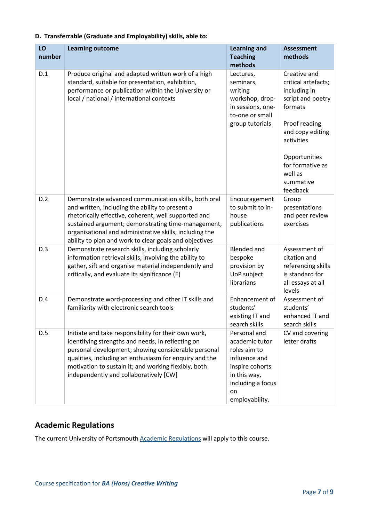| LO<br>number | <b>Learning outcome</b>                                                                                                                                                                                                                                                                                                                    | <b>Learning and</b><br><b>Teaching</b><br>methods                                                                                               | <b>Assessment</b><br>methods                                                                                                                                                                                    |
|--------------|--------------------------------------------------------------------------------------------------------------------------------------------------------------------------------------------------------------------------------------------------------------------------------------------------------------------------------------------|-------------------------------------------------------------------------------------------------------------------------------------------------|-----------------------------------------------------------------------------------------------------------------------------------------------------------------------------------------------------------------|
| D.1          | Produce original and adapted written work of a high<br>standard, suitable for presentation, exhibition,<br>performance or publication within the University or<br>local / national / international contexts                                                                                                                                | Lectures,<br>seminars,<br>writing<br>workshop, drop-<br>in sessions, one-<br>to-one or small<br>group tutorials                                 | Creative and<br>critical artefacts;<br>including in<br>script and poetry<br>formats<br>Proof reading<br>and copy editing<br>activities<br>Opportunities<br>for formative as<br>well as<br>summative<br>feedback |
| D.2          | Demonstrate advanced communication skills, both oral<br>and written, including the ability to present a<br>rhetorically effective, coherent, well supported and<br>sustained argument; demonstrating time-management,<br>organisational and administrative skills, including the<br>ability to plan and work to clear goals and objectives | Encouragement<br>to submit to in-<br>house<br>publications                                                                                      | Group<br>presentations<br>and peer review<br>exercises                                                                                                                                                          |
| D.3          | Demonstrate research skills, including scholarly<br>information retrieval skills, involving the ability to<br>gather, sift and organise material independently and<br>critically, and evaluate its significance (E)                                                                                                                        | <b>Blended and</b><br>bespoke<br>provision by<br>UoP subject<br>librarians                                                                      | Assessment of<br>citation and<br>referencing skills<br>is standard for<br>all essays at all<br>levels                                                                                                           |
| D.4          | Demonstrate word-processing and other IT skills and<br>familiarity with electronic search tools                                                                                                                                                                                                                                            | Enhancement of<br>students'<br>existing IT and<br>search skills                                                                                 | Assessment of<br>students'<br>enhanced IT and<br>search skills                                                                                                                                                  |
| D.5          | Initiate and take responsibility for their own work,<br>identifying strengths and needs, in reflecting on<br>personal development; showing considerable personal<br>qualities, including an enthusiasm for enquiry and the<br>motivation to sustain it; and working flexibly, both<br>independently and collaboratively [CW]               | Personal and<br>academic tutor<br>roles aim to<br>influence and<br>inspire cohorts<br>in this way,<br>including a focus<br>on<br>employability. | CV and covering<br>letter drafts                                                                                                                                                                                |

#### **D. Transferrable (Graduate and Employability) skills, able to:**

## **Academic Regulations**

The current University of Portsmouth **Academic Regulations** will apply to this course.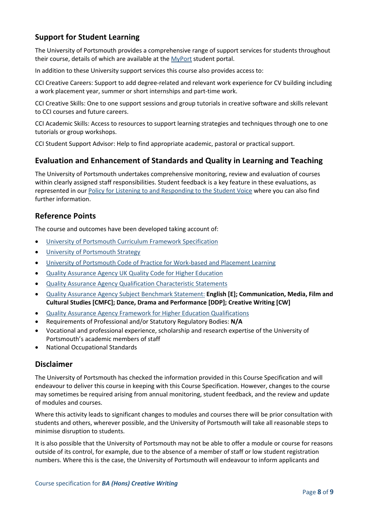## **Support for Student Learning**

The University of Portsmouth provides a comprehensive range of support services for students throughout their course, details of which are available at the [MyPort](http://myport.ac.uk/) student portal.

In addition to these University support services this course also provides access to:

CCI Creative Careers: Support to add degree-related and relevant work experience for CV building including a work placement year, summer or short internships and part-time work.

CCI Creative Skills: One to one support sessions and group tutorials in creative software and skills relevant to CCI courses and future careers.

CCI Academic Skills: Access to resources to support learning strategies and techniques through one to one tutorials or group workshops.

CCI Student Support Advisor: Help to find appropriate academic, pastoral or practical support.

#### **Evaluation and Enhancement of Standards and Quality in Learning and Teaching**

The University of Portsmouth undertakes comprehensive monitoring, review and evaluation of courses within clearly assigned staff responsibilities. Student feedback is a key feature in these evaluations, as represented in our [Policy for Listening to and Responding to the Student Voice](http://policies.docstore.port.ac.uk/policy-069.pdf) where you can also find further information.

#### **Reference Points**

The course and outcomes have been developed taking account of:

- [University of Portsmouth Curriculum Framework Specification](http://policies.docstore.port.ac.uk/policy-217.pdf?_ga=2.262170252.1863271531.1625471462-353504235.1613498042)
- [University of Portsmouth Strategy](https://www.port.ac.uk/about-us/our-ambition/our-strategy)
- [University of Portsmouth Code of Practice for Work-based and Placement Learning](http://policies.docstore.port.ac.uk/policy-151.pdf)
- [Quality Assurance Agency UK Quality Code for Higher Education](https://www.qaa.ac.uk/quality-code)
- [Quality Assurance Agency Qualification Characteristic Statements](https://www.qaa.ac.uk/quality-code/characteristics-statements)
- [Quality Assurance Agency Subject Benchmark Statement:](https://www.qaa.ac.uk/quality-code/subject-benchmark-statements) **English [E]; Communication, Media, Film and Cultural Studies [CMFC]; Dance, Drama and Performance [DDP]; Creative Writing [CW]**
- [Quality Assurance Agency Framework for Higher Education Qualifications](https://www.qaa.ac.uk/quality-code/qualifications-frameworks)
- Requirements of Professional and/or Statutory Regulatory Bodies: **N/A**
- Vocational and professional experience, scholarship and research expertise of the University of Portsmouth's academic members of staff
- National Occupational Standards

#### **Disclaimer**

The University of Portsmouth has checked the information provided in this Course Specification and will endeavour to deliver this course in keeping with this Course Specification. However, changes to the course may sometimes be required arising from annual monitoring, student feedback, and the review and update of modules and courses.

Where this activity leads to significant changes to modules and courses there will be prior consultation with students and others, wherever possible, and the University of Portsmouth will take all reasonable steps to minimise disruption to students.

It is also possible that the University of Portsmouth may not be able to offer a module or course for reasons outside of its control, for example, due to the absence of a member of staff or low student registration numbers. Where this is the case, the University of Portsmouth will endeavour to inform applicants and